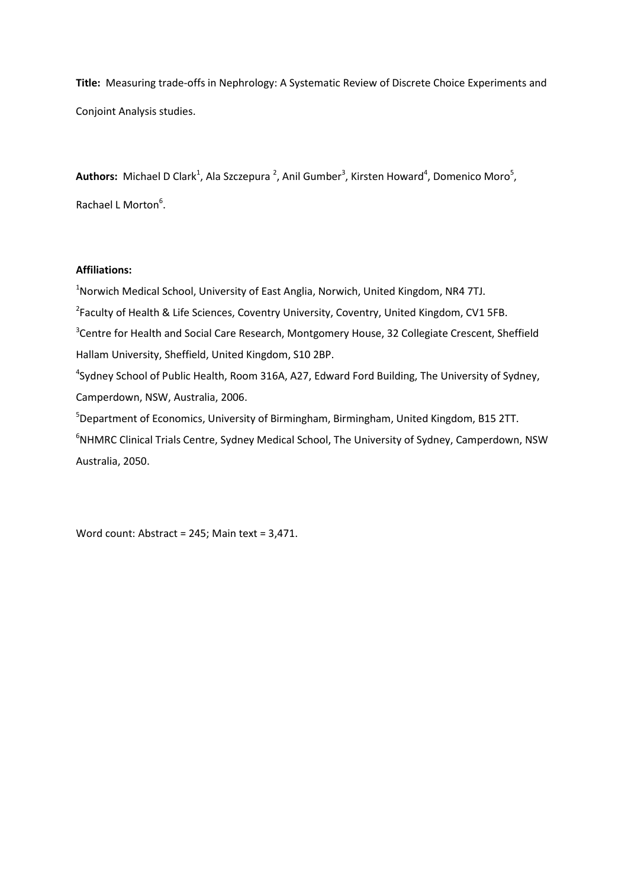**Title:** Measuring trade-offs in Nephrology: A Systematic Review of Discrete Choice Experiments and Conjoint Analysis studies.

Authors: Michael D Clark<sup>1</sup>, Ala Szczepura<sup>2</sup>, Anil Gumber<sup>3</sup>, Kirsten Howard<sup>4</sup>, Domenico Moro<sup>5</sup>, Rachael L Morton<sup>6</sup>.

# **Affiliations:**

<sup>1</sup>Norwich Medical School, University of East Anglia, Norwich, United Kingdom, NR4 7TJ. <sup>2</sup>Faculty of Health & Life Sciences, Coventry University, Coventry, United Kingdom, CV1 5FB. <sup>3</sup>Centre for Health and Social Care Research, Montgomery House, 32 Collegiate Crescent, Sheffield Hallam University, Sheffield, United Kingdom, S10 2BP. <sup>4</sup>Sydney School of Public Health, Room 316A, A27, Edward Ford Building, The University of Sydney, Camperdown, NSW, Australia, 2006. <sup>5</sup>Department of Economics, University of Birmingham, Birmingham, United Kingdom, B15 2TT. <sup>6</sup>NHMRC Clinical Trials Centre, Sydney Medical School, The University of Sydney, Camperdown, NSW Australia, 2050.

Word count: Abstract = 245; Main text = 3,471.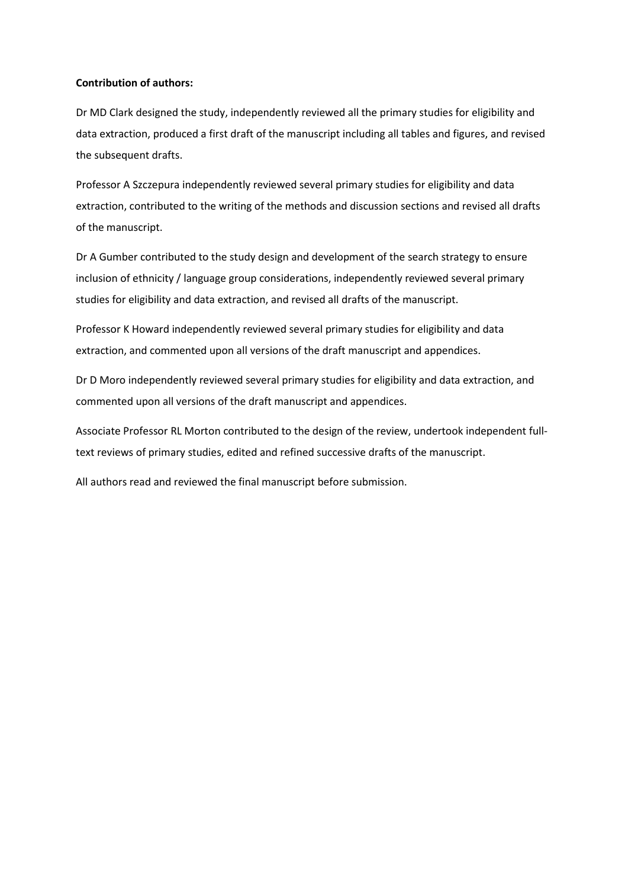## **Contribution of authors:**

Dr MD Clark designed the study, independently reviewed all the primary studies for eligibility and data extraction, produced a first draft of the manuscript including all tables and figures, and revised the subsequent drafts.

Professor A Szczepura independently reviewed several primary studies for eligibility and data extraction, contributed to the writing of the methods and discussion sections and revised all drafts of the manuscript.

Dr A Gumber contributed to the study design and development of the search strategy to ensure inclusion of ethnicity / language group considerations, independently reviewed several primary studies for eligibility and data extraction, and revised all drafts of the manuscript.

Professor K Howard independently reviewed several primary studies for eligibility and data extraction, and commented upon all versions of the draft manuscript and appendices.

Dr D Moro independently reviewed several primary studies for eligibility and data extraction, and commented upon all versions of the draft manuscript and appendices.

Associate Professor RL Morton contributed to the design of the review, undertook independent fulltext reviews of primary studies, edited and refined successive drafts of the manuscript.

All authors read and reviewed the final manuscript before submission.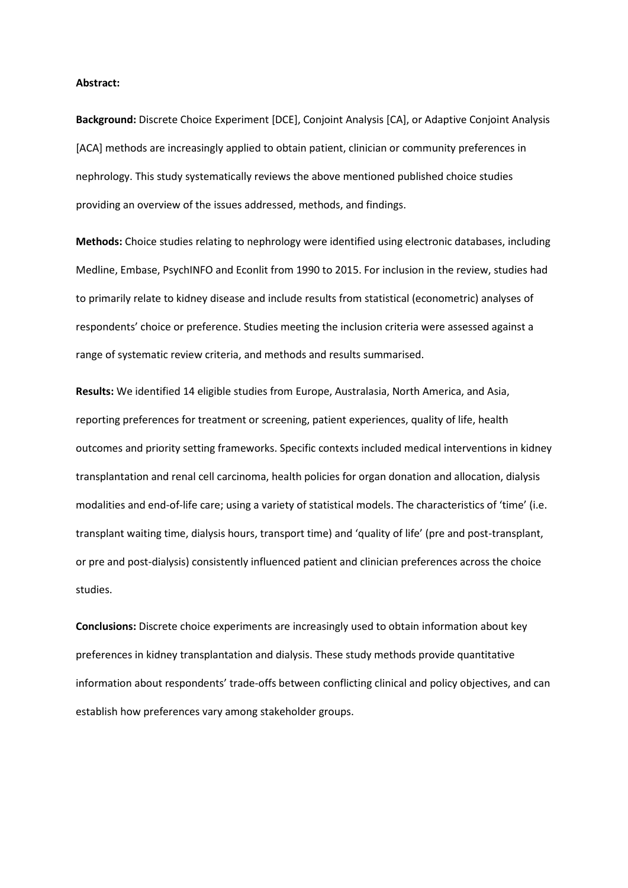#### **Abstract:**

**Background:** Discrete Choice Experiment [DCE], Conjoint Analysis [CA], or Adaptive Conjoint Analysis [ACA] methods are increasingly applied to obtain patient, clinician or community preferences in nephrology. This study systematically reviews the above mentioned published choice studies providing an overview of the issues addressed, methods, and findings.

**Methods:** Choice studies relating to nephrology were identified using electronic databases, including Medline, Embase, PsychINFO and Econlit from 1990 to 2015. For inclusion in the review, studies had to primarily relate to kidney disease and include results from statistical (econometric) analyses of respondents' choice or preference. Studies meeting the inclusion criteria were assessed against a range of systematic review criteria, and methods and results summarised.

**Results:** We identified 14 eligible studies from Europe, Australasia, North America, and Asia, reporting preferences for treatment or screening, patient experiences, quality of life, health outcomes and priority setting frameworks. Specific contexts included medical interventions in kidney transplantation and renal cell carcinoma, health policies for organ donation and allocation, dialysis modalities and end-of-life care; using a variety of statistical models. The characteristics of 'time' (i.e. transplant waiting time, dialysis hours, transport time) and 'quality of life' (pre and post-transplant, or pre and post-dialysis) consistently influenced patient and clinician preferences across the choice studies.

**Conclusions:** Discrete choice experiments are increasingly used to obtain information about key preferences in kidney transplantation and dialysis. These study methods provide quantitative information about respondents' trade-offs between conflicting clinical and policy objectives, and can establish how preferences vary among stakeholder groups.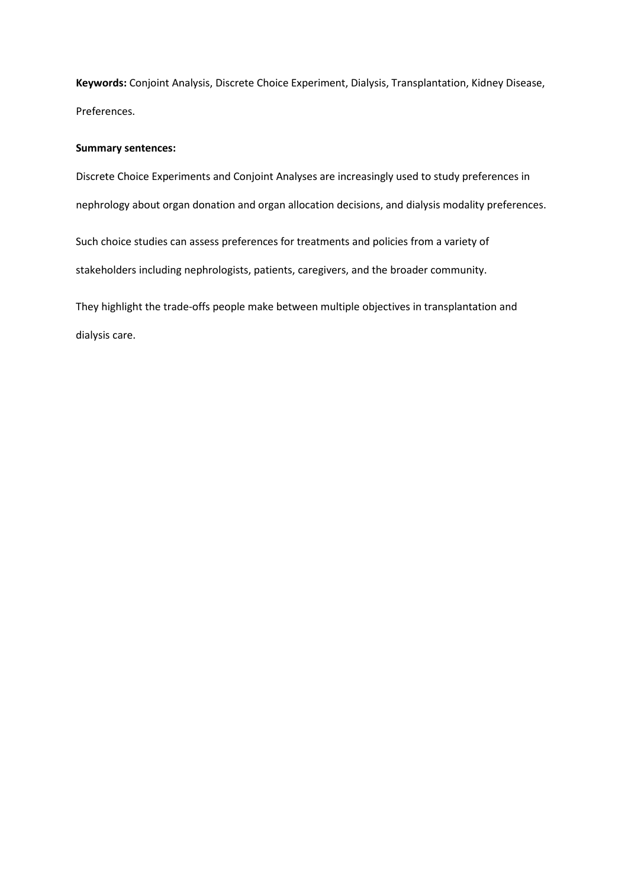**Keywords:** Conjoint Analysis, Discrete Choice Experiment, Dialysis, Transplantation, Kidney Disease, Preferences.

## **Summary sentences:**

Discrete Choice Experiments and Conjoint Analyses are increasingly used to study preferences in nephrology about organ donation and organ allocation decisions, and dialysis modality preferences.

Such choice studies can assess preferences for treatments and policies from a variety of

stakeholders including nephrologists, patients, caregivers, and the broader community.

They highlight the trade-offs people make between multiple objectives in transplantation and dialysis care.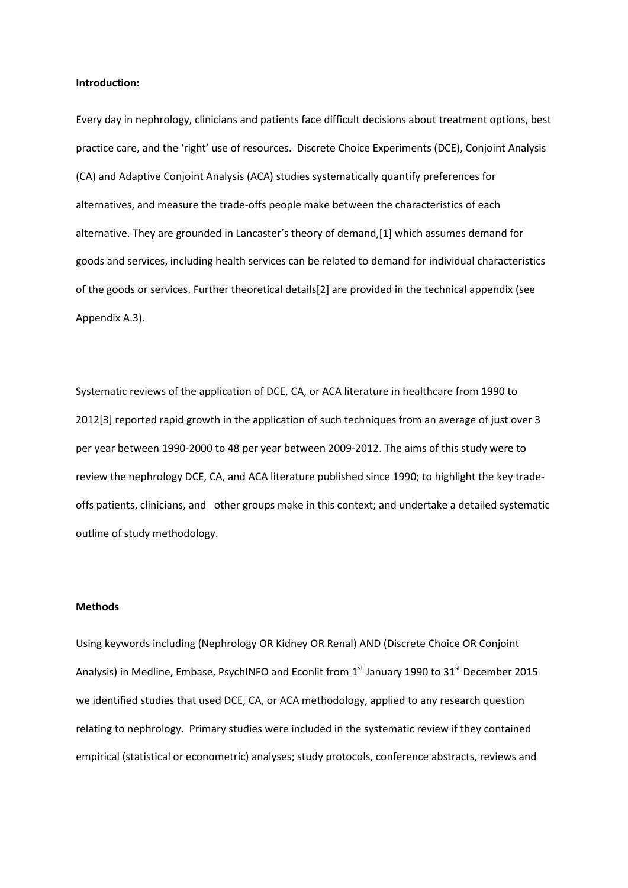## **Introduction:**

Every day in nephrology, clinicians and patients face difficult decisions about treatment options, best practice care, and the 'right' use of resources. Discrete Choice Experiments (DCE), Conjoint Analysis (CA) and Adaptive Conjoint Analysis (ACA) studies systematically quantify preferences for alternatives, and measure the trade-offs people make between the characteristics of each alternative. They are grounded in Lancaster's theory of demand,[\[1\]](#page-15-0) which assumes demand for goods and services, including health services can be related to demand for individual characteristics of the goods or services. Further theoretical details[\[2\]](#page-15-1) are provided in the technical appendix (see Appendix A.3).

Systematic reviews of the application of DCE, CA, or ACA literature in healthcare from 1990 to 2012[\[3\]](#page-15-2) reported rapid growth in the application of such techniques from an average of just over 3 per year between 1990-2000 to 48 per year between 2009-2012. The aims of this study were to review the nephrology DCE, CA, and ACA literature published since 1990; to highlight the key tradeoffs patients, clinicians, and other groups make in this context; and undertake a detailed systematic outline of study methodology.

## **Methods**

Using keywords including (Nephrology OR Kidney OR Renal) AND (Discrete Choice OR Conjoint Analysis) in Medline, Embase, PsychINFO and Econlit from 1<sup>st</sup> January 1990 to 31<sup>st</sup> December 2015 we identified studies that used DCE, CA, or ACA methodology, applied to any research question relating to nephrology. Primary studies were included in the systematic review if they contained empirical (statistical or econometric) analyses; study protocols, conference abstracts, reviews and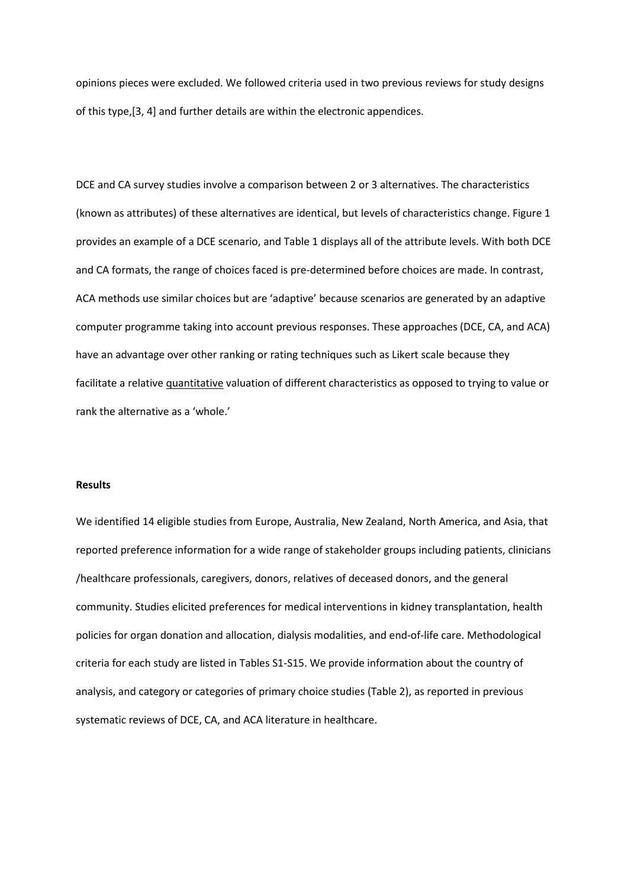opinions pieces were excluded. We followed criteria used in two previous reviews for study designs of this type,[\[3,](#page-15-2) [4\]](#page-15-3) and further details are within the electronic appendices.

DCE and CA survey studies involve a comparison between 2 or 3 alternatives. The characteristics (known as attributes) of these alternatives are identical, but levels of characteristics change. Figure 1 provides an example of a DCE scenario, and Table 1 displays all of the attribute levels. With both DCE and CA formats, the range of choices faced is pre-determined before choices are made. In contrast, ACA methods use similar choices but are 'adaptive' because scenarios are generated by an adaptive computer programme taking into account previous responses. These approaches (DCE, CA, and ACA) have an advantage over other ranking or rating techniques such as Likert scale because they facilitate a relative quantitative valuation of different characteristics as opposed to trying to value or rank the alternative as a 'whole.'

## **Results**

We identified 14 eligible studies from Europe, Australia, New Zealand, North America, and Asia, that reported preference information for a wide range of stakeholder groups including patients, clinicians /healthcare professionals, caregivers, donors, relatives of deceased donors, and the general community. Studies elicited preferences for medical interventions in kidney transplantation, health policies for organ donation and allocation, dialysis modalities, and end-of-life care. Methodological criteria for each study are listed in Tables S1-S15. We provide information about the country of analysis, and category or categories of primary choice studies (Table 2), as reported in previous systematic reviews of DCE, CA, and ACA literature in healthcare.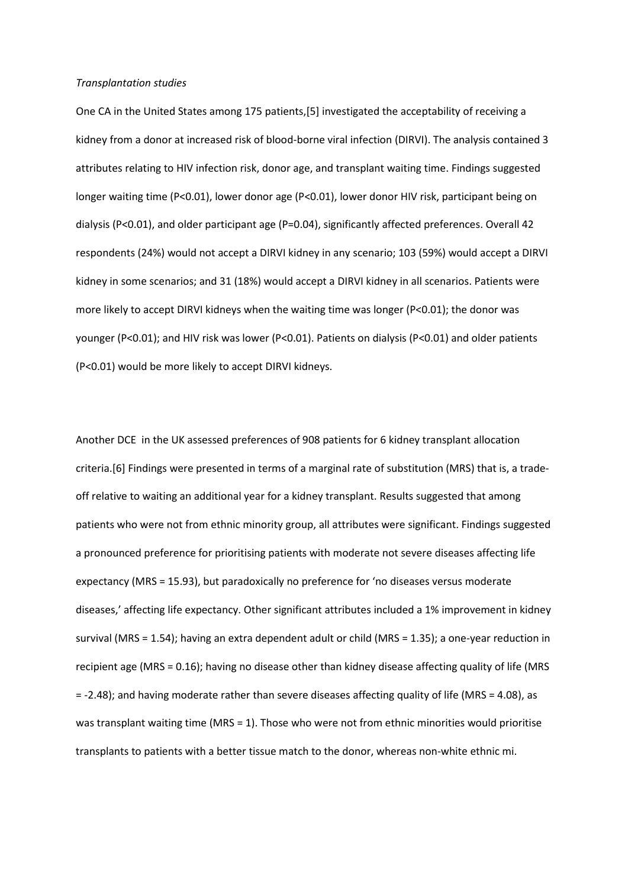#### *Transplantation studies*

One CA in the United States among 175 patients,[\[5\]](#page-15-4) investigated the acceptability of receiving a kidney from a donor at increased risk of blood-borne viral infection (DIRVI). The analysis contained 3 attributes relating to HIV infection risk, donor age, and transplant waiting time. Findings suggested longer waiting time (P<0.01), lower donor age (P<0.01), lower donor HIV risk, participant being on dialysis (P<0.01), and older participant age (P=0.04), significantly affected preferences. Overall 42 respondents (24%) would not accept a DIRVI kidney in any scenario; 103 (59%) would accept a DIRVI kidney in some scenarios; and 31 (18%) would accept a DIRVI kidney in all scenarios. Patients were more likely to accept DIRVI kidneys when the waiting time was longer (P<0.01); the donor was younger (P<0.01); and HIV risk was lower (P<0.01). Patients on dialysis (P<0.01) and older patients (P<0.01) would be more likely to accept DIRVI kidneys.

Another DCE in the UK assessed preferences of 908 patients for 6 kidney transplant allocation criteria.[\[6\]](#page-15-5) Findings were presented in terms of a marginal rate of substitution (MRS) that is, a tradeoff relative to waiting an additional year for a kidney transplant. Results suggested that among patients who were not from ethnic minority group, all attributes were significant. Findings suggested a pronounced preference for prioritising patients with moderate not severe diseases affecting life expectancy (MRS = 15.93), but paradoxically no preference for 'no diseases versus moderate diseases,' affecting life expectancy. Other significant attributes included a 1% improvement in kidney survival (MRS = 1.54); having an extra dependent adult or child (MRS = 1.35); a one-year reduction in recipient age (MRS = 0.16); having no disease other than kidney disease affecting quality of life (MRS = -2.48); and having moderate rather than severe diseases affecting quality of life (MRS = 4.08), as was transplant waiting time (MRS = 1). Those who were not from ethnic minorities would prioritise transplants to patients with a better tissue match to the donor, whereas non-white ethnic mi.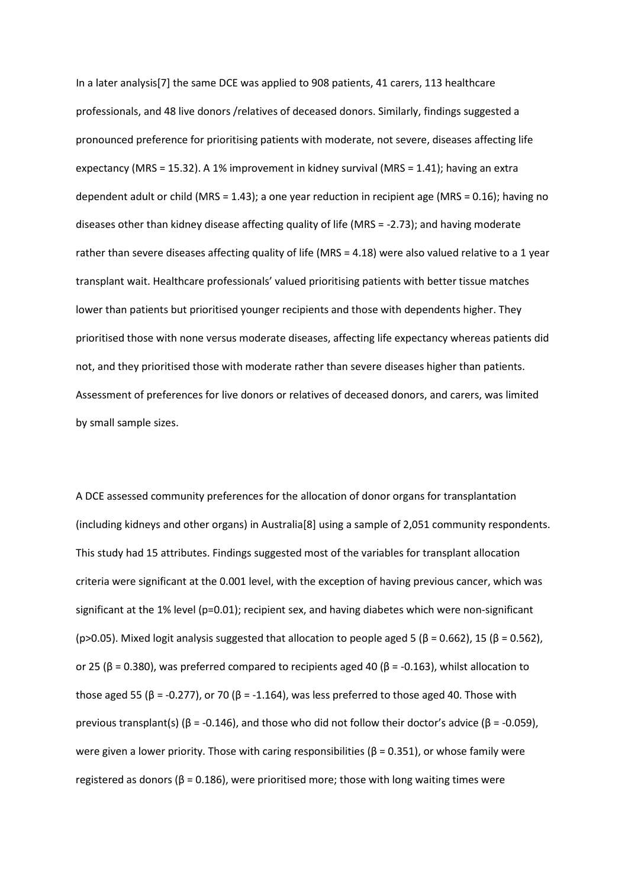In a later analysis[\[7\]](#page-15-6) the same DCE was applied to 908 patients, 41 carers, 113 healthcare professionals, and 48 live donors /relatives of deceased donors. Similarly, findings suggested a pronounced preference for prioritising patients with moderate, not severe, diseases affecting life expectancy (MRS = 15.32). A 1% improvement in kidney survival (MRS = 1.41); having an extra dependent adult or child (MRS = 1.43); a one year reduction in recipient age (MRS = 0.16); having no diseases other than kidney disease affecting quality of life (MRS = -2.73); and having moderate rather than severe diseases affecting quality of life (MRS = 4.18) were also valued relative to a 1 year transplant wait. Healthcare professionals' valued prioritising patients with better tissue matches lower than patients but prioritised younger recipients and those with dependents higher. They prioritised those with none versus moderate diseases, affecting life expectancy whereas patients did not, and they prioritised those with moderate rather than severe diseases higher than patients. Assessment of preferences for live donors or relatives of deceased donors, and carers, was limited by small sample sizes.

A DCE assessed community preferences for the allocation of donor organs for transplantation (including kidneys and other organs) in Australia[\[8\]](#page-15-7) using a sample of 2,051 community respondents. This study had 15 attributes. Findings suggested most of the variables for transplant allocation criteria were significant at the 0.001 level, with the exception of having previous cancer, which was significant at the 1% level (p=0.01); recipient sex, and having diabetes which were non-significant (p>0.05). Mixed logit analysis suggested that allocation to people aged 5 ( $\beta$  = 0.662), 15 ( $\beta$  = 0.562), or 25 ( $\beta$  = 0.380), was preferred compared to recipients aged 40 ( $\beta$  = -0.163), whilst allocation to those aged 55 (β = -0.277), or 70 (β = -1.164), was less preferred to those aged 40. Those with previous transplant(s) ( $\beta$  = -0.146), and those who did not follow their doctor's advice ( $\beta$  = -0.059), were given a lower priority. Those with caring responsibilities ( $β = 0.351$ ), or whose family were registered as donors ( $β = 0.186$ ), were prioritised more; those with long waiting times were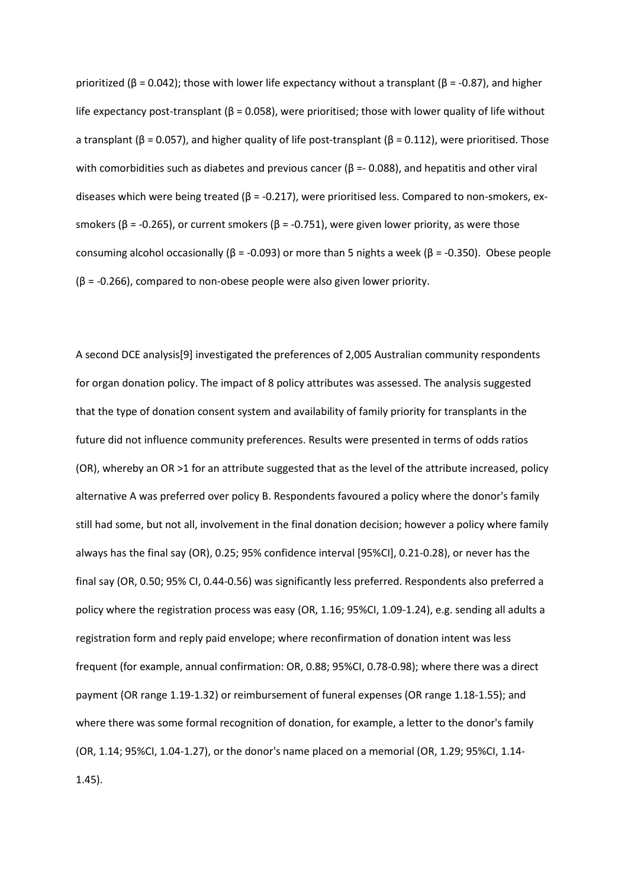prioritized (β = 0.042); those with lower life expectancy without a transplant (β = -0.87), and higher life expectancy post-transplant ( $\beta$  = 0.058), were prioritised; those with lower quality of life without a transplant (β = 0.057), and higher quality of life post-transplant (β = 0.112), were prioritised. Those with comorbidities such as diabetes and previous cancer ( $\beta$  =- 0.088), and hepatitis and other viral diseases which were being treated ( $β = -0.217$ ), were prioritised less. Compared to non-smokers, exsmokers ( $\beta$  = -0.265), or current smokers ( $\beta$  = -0.751), were given lower priority, as were those consuming alcohol occasionally ( $β = -0.093$ ) or more than 5 nights a week ( $β = -0.350$ ). Obese people (β = -0.266), compared to non-obese people were also given lower priority.

A second DCE analysis[\[9\]](#page-15-8) investigated the preferences of 2,005 Australian community respondents for organ donation policy. The impact of 8 policy attributes was assessed. The analysis suggested that the type of donation consent system and availability of family priority for transplants in the future did not influence community preferences. Results were presented in terms of odds ratios (OR), whereby an OR >1 for an attribute suggested that as the level of the attribute increased, policy alternative A was preferred over policy B. Respondents favoured a policy where the donor's family still had some, but not all, involvement in the final donation decision; however a policy where family always has the final say (OR), 0.25; 95% confidence interval [95%CI], 0.21-0.28), or never has the final say (OR, 0.50; 95% CI, 0.44-0.56) was significantly less preferred. Respondents also preferred a policy where the registration process was easy (OR, 1.16; 95%CI, 1.09-1.24), e.g. sending all adults a registration form and reply paid envelope; where reconfirmation of donation intent was less frequent (for example, annual confirmation: OR, 0.88; 95%CI, 0.78-0.98); where there was a direct payment (OR range 1.19-1.32) or reimbursement of funeral expenses (OR range 1.18-1.55); and where there was some formal recognition of donation, for example, a letter to the donor's family (OR, 1.14; 95%CI, 1.04-1.27), or the donor's name placed on a memorial (OR, 1.29; 95%CI, 1.14- 1.45).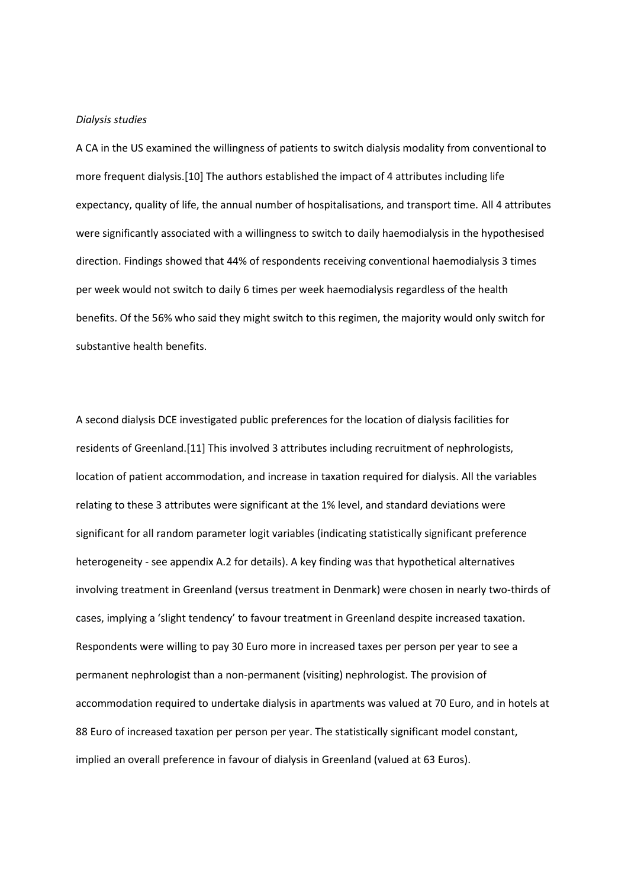## *Dialysis studies*

A CA in the US examined the willingness of patients to switch dialysis modality from conventional to more frequent dialysis.[\[10\]](#page-15-9) The authors established the impact of 4 attributes including life expectancy, quality of life, the annual number of hospitalisations, and transport time. All 4 attributes were significantly associated with a willingness to switch to daily haemodialysis in the hypothesised direction. Findings showed that 44% of respondents receiving conventional haemodialysis 3 times per week would not switch to daily 6 times per week haemodialysis regardless of the health benefits. Of the 56% who said they might switch to this regimen, the majority would only switch for substantive health benefits.

A second dialysis DCE investigated public preferences for the location of dialysis facilities for residents of Greenland.[\[11\]](#page-15-10) This involved 3 attributes including recruitment of nephrologists, location of patient accommodation, and increase in taxation required for dialysis. All the variables relating to these 3 attributes were significant at the 1% level, and standard deviations were significant for all random parameter logit variables (indicating statistically significant preference heterogeneity - see appendix A.2 for details). A key finding was that hypothetical alternatives involving treatment in Greenland (versus treatment in Denmark) were chosen in nearly two-thirds of cases, implying a 'slight tendency' to favour treatment in Greenland despite increased taxation. Respondents were willing to pay 30 Euro more in increased taxes per person per year to see a permanent nephrologist than a non-permanent (visiting) nephrologist. The provision of accommodation required to undertake dialysis in apartments was valued at 70 Euro, and in hotels at 88 Euro of increased taxation per person per year. The statistically significant model constant, implied an overall preference in favour of dialysis in Greenland (valued at 63 Euros).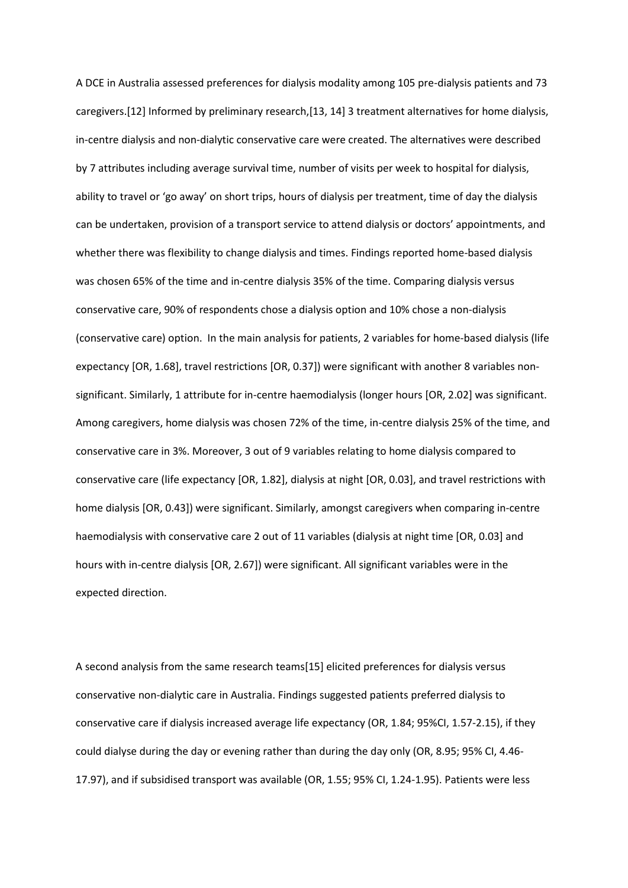A DCE in Australia assessed preferences for dialysis modality among 105 pre-dialysis patients and 73 caregivers.[\[12\]](#page-15-11) Informed by preliminary research,[\[13,](#page-15-12) [14\]](#page-15-13) 3 treatment alternatives for home dialysis, in-centre dialysis and non-dialytic conservative care were created. The alternatives were described by 7 attributes including average survival time, number of visits per week to hospital for dialysis, ability to travel or 'go away' on short trips, hours of dialysis per treatment, time of day the dialysis can be undertaken, provision of a transport service to attend dialysis or doctors' appointments, and whether there was flexibility to change dialysis and times. Findings reported home-based dialysis was chosen 65% of the time and in-centre dialysis 35% of the time. Comparing dialysis versus conservative care, 90% of respondents chose a dialysis option and 10% chose a non-dialysis (conservative care) option. In the main analysis for patients, 2 variables for home-based dialysis (life expectancy [OR, 1.68], travel restrictions [OR, 0.37]) were significant with another 8 variables nonsignificant. Similarly, 1 attribute for in-centre haemodialysis (longer hours [OR, 2.02] was significant. Among caregivers, home dialysis was chosen 72% of the time, in-centre dialysis 25% of the time, and conservative care in 3%. Moreover, 3 out of 9 variables relating to home dialysis compared to conservative care (life expectancy [OR, 1.82], dialysis at night [OR, 0.03], and travel restrictions with home dialysis [OR, 0.43]) were significant. Similarly, amongst caregivers when comparing in-centre haemodialysis with conservative care 2 out of 11 variables (dialysis at night time [OR, 0.03] and hours with in-centre dialysis [OR, 2.67]) were significant. All significant variables were in the expected direction.

A second analysis from the same research teams[\[15\]](#page-16-0) elicited preferences for dialysis versus conservative non-dialytic care in Australia. Findings suggested patients preferred dialysis to conservative care if dialysis increased average life expectancy (OR, 1.84; 95%CI, 1.57-2.15), if they could dialyse during the day or evening rather than during the day only (OR, 8.95; 95% CI, 4.46- 17.97), and if subsidised transport was available (OR, 1.55; 95% CI, 1.24-1.95). Patients were less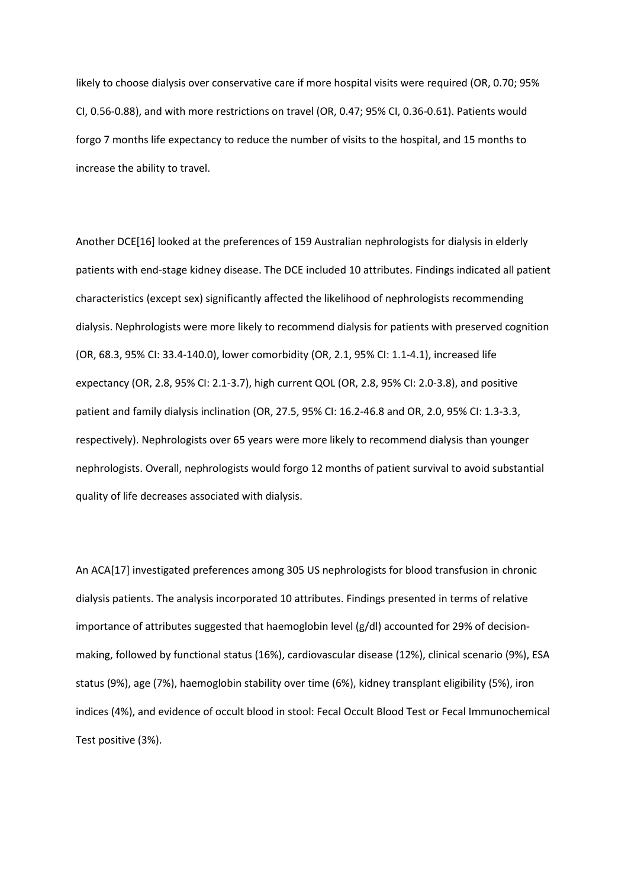likely to choose dialysis over conservative care if more hospital visits were required (OR, 0.70; 95% CI, 0.56-0.88), and with more restrictions on travel (OR, 0.47; 95% CI, 0.36-0.61). Patients would forgo 7 months life expectancy to reduce the number of visits to the hospital, and 15 months to increase the ability to travel.

Another DCE[\[16\]](#page-16-1) looked at the preferences of 159 Australian nephrologists for dialysis in elderly patients with end-stage kidney disease. The DCE included 10 attributes. Findings indicated all patient characteristics (except sex) significantly affected the likelihood of nephrologists recommending dialysis. Nephrologists were more likely to recommend dialysis for patients with preserved cognition (OR, 68.3, 95% CI: 33.4-140.0), lower comorbidity (OR, 2.1, 95% CI: 1.1-4.1), increased life expectancy (OR, 2.8, 95% CI: 2.1-3.7), high current QOL (OR, 2.8, 95% CI: 2.0-3.8), and positive patient and family dialysis inclination (OR, 27.5, 95% CI: 16.2-46.8 and OR, 2.0, 95% CI: 1.3-3.3, respectively). Nephrologists over 65 years were more likely to recommend dialysis than younger nephrologists. Overall, nephrologists would forgo 12 months of patient survival to avoid substantial quality of life decreases associated with dialysis.

An ACA[\[17\]](#page-16-2) investigated preferences among 305 US nephrologists for blood transfusion in chronic dialysis patients. The analysis incorporated 10 attributes. Findings presented in terms of relative importance of attributes suggested that haemoglobin level  $(g/d)$  accounted for 29% of decisionmaking, followed by functional status (16%), cardiovascular disease (12%), clinical scenario (9%), ESA status (9%), age (7%), haemoglobin stability over time (6%), kidney transplant eligibility (5%), iron indices (4%), and evidence of occult blood in stool: Fecal Occult Blood Test or Fecal Immunochemical Test positive (3%).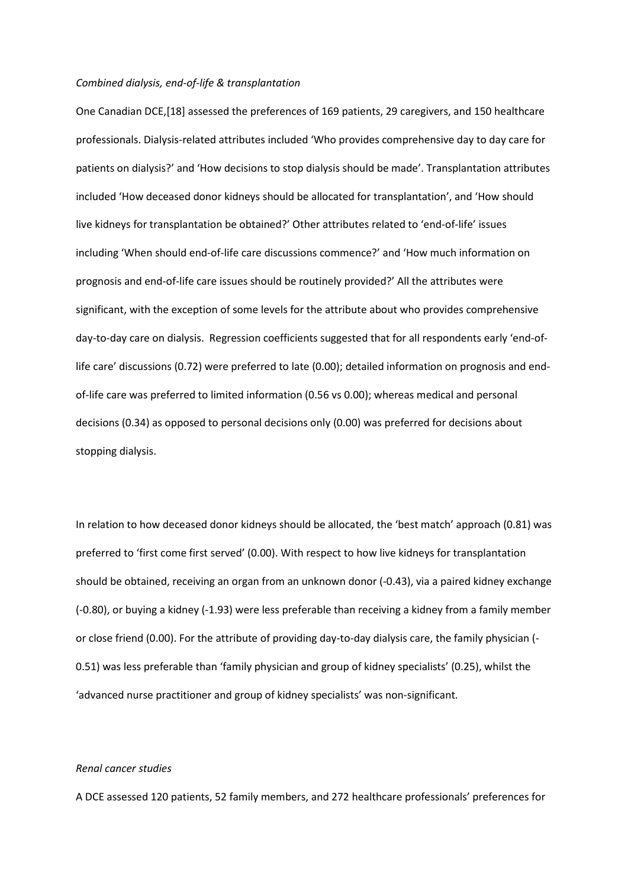#### *Combined dialysis, end-of-life & transplantation*

One Canadian DCE,[\[18\]](#page-16-3) assessed the preferences of 169 patients, 29 caregivers, and 150 healthcare professionals. Dialysis-related attributes included 'Who provides comprehensive day to day care for patients on dialysis?' and 'How decisions to stop dialysis should be made'. Transplantation attributes included 'How deceased donor kidneys should be allocated for transplantation', and 'How should live kidneys for transplantation be obtained?' Other attributes related to 'end-of-life' issues including 'When should end-of-life care discussions commence?' and 'How much information on prognosis and end-of-life care issues should be routinely provided?' All the attributes were significant, with the exception of some levels for the attribute about who provides comprehensive day-to-day care on dialysis. Regression coefficients suggested that for all respondents early 'end-oflife care' discussions (0.72) were preferred to late (0.00); detailed information on prognosis and endof-life care was preferred to limited information (0.56 vs 0.00); whereas medical and personal decisions (0.34) as opposed to personal decisions only (0.00) was preferred for decisions about stopping dialysis.

In relation to how deceased donor kidneys should be allocated, the 'best match' approach (0.81) was preferred to 'first come first served' (0.00). With respect to how live kidneys for transplantation should be obtained, receiving an organ from an unknown donor (-0.43), via a paired kidney exchange (-0.80), or buying a kidney (-1.93) were less preferable than receiving a kidney from a family member or close friend (0.00). For the attribute of providing day-to-day dialysis care, the family physician (- 0.51) was less preferable than 'family physician and group of kidney specialists' (0.25), whilst the 'advanced nurse practitioner and group of kidney specialists' was non-significant.

## *Renal cancer studies*

A DCE assessed 120 patients, 52 family members, and 272 healthcare professionals' preferences for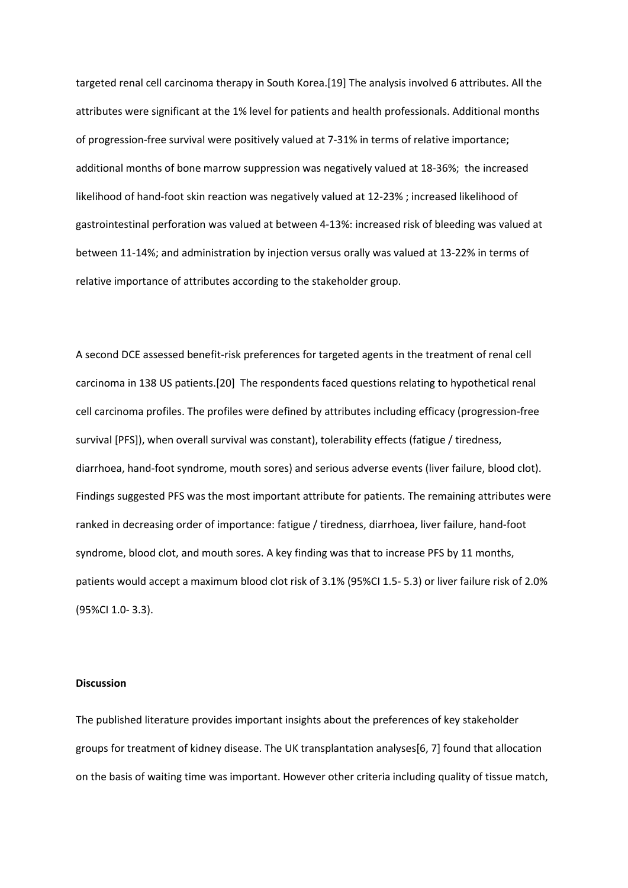targeted renal cell carcinoma therapy in South Korea.[\[19\]](#page-16-4) The analysis involved 6 attributes. All the attributes were significant at the 1% level for patients and health professionals. Additional months of progression-free survival were positively valued at 7-31% in terms of relative importance; additional months of bone marrow suppression was negatively valued at 18-36%; the increased likelihood of hand-foot skin reaction was negatively valued at 12-23% ; increased likelihood of gastrointestinal perforation was valued at between 4-13%: increased risk of bleeding was valued at between 11-14%; and administration by injection versus orally was valued at 13-22% in terms of relative importance of attributes according to the stakeholder group.

A second DCE assessed benefit-risk preferences for targeted agents in the treatment of renal cell carcinoma in 138 US patients.[\[20\]](#page-16-5) The respondents faced questions relating to hypothetical renal cell carcinoma profiles. The profiles were defined by attributes including efficacy (progression-free survival [PFS]), when overall survival was constant), tolerability effects (fatigue / tiredness, diarrhoea, hand-foot syndrome, mouth sores) and serious adverse events (liver failure, blood clot). Findings suggested PFS was the most important attribute for patients. The remaining attributes were ranked in decreasing order of importance: fatigue / tiredness, diarrhoea, liver failure, hand-foot syndrome, blood clot, and mouth sores. A key finding was that to increase PFS by 11 months, patients would accept a maximum blood clot risk of 3.1% (95%CI 1.5- 5.3) or liver failure risk of 2.0% (95%CI 1.0- 3.3).

#### **Discussion**

The published literature provides important insights about the preferences of key stakeholder groups for treatment of kidney disease. The UK transplantation analyses[\[6,](#page-15-5) [7\]](#page-15-6) found that allocation on the basis of waiting time was important. However other criteria including quality of tissue match,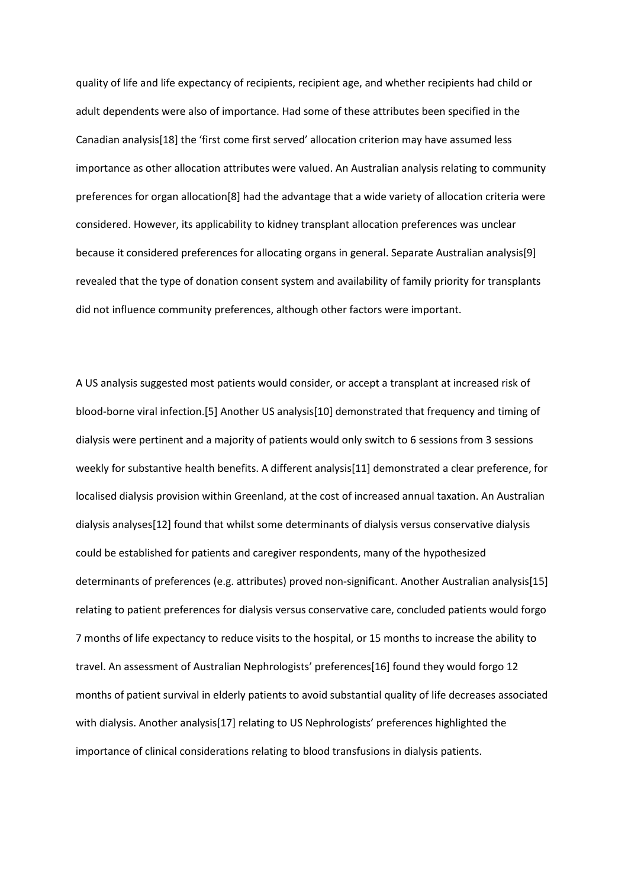quality of life and life expectancy of recipients, recipient age, and whether recipients had child or adult dependents were also of importance. Had some of these attributes been specified in the Canadian analysis[\[18\]](#page-16-3) the 'first come first served' allocation criterion may have assumed less importance as other allocation attributes were valued. An Australian analysis relating to community preferences for organ allocation[\[8\]](#page-15-7) had the advantage that a wide variety of allocation criteria were considered. However, its applicability to kidney transplant allocation preferences was unclear because it considered preferences for allocating organs in general. Separate Australian analysis[\[9\]](#page-15-8) revealed that the type of donation consent system and availability of family priority for transplants did not influence community preferences, although other factors were important.

A US analysis suggested most patients would consider, or accept a transplant at increased risk of blood-borne viral infection.[\[5\]](#page-15-4) Another US analysis[\[10\]](#page-15-9) demonstrated that frequency and timing of dialysis were pertinent and a majority of patients would only switch to 6 sessions from 3 sessions weekly for substantive health benefits. A different analysis[\[11\]](#page-15-10) demonstrated a clear preference, for localised dialysis provision within Greenland, at the cost of increased annual taxation. An Australian dialysis analyses[\[12\]](#page-15-11) found that whilst some determinants of dialysis versus conservative dialysis could be established for patients and caregiver respondents, many of the hypothesized determinants of preferences (e.g. attributes) proved non-significant. Another Australian analysis[\[15\]](#page-16-0) relating to patient preferences for dialysis versus conservative care, concluded patients would forgo 7 months of life expectancy to reduce visits to the hospital, or 15 months to increase the ability to travel. An assessment of Australian Nephrologists' preferences[\[16\]](#page-16-1) found they would forgo 12 months of patient survival in elderly patients to avoid substantial quality of life decreases associated with dialysis. Another analysis[\[17\]](#page-16-2) relating to US Nephrologists' preferences highlighted the importance of clinical considerations relating to blood transfusions in dialysis patients.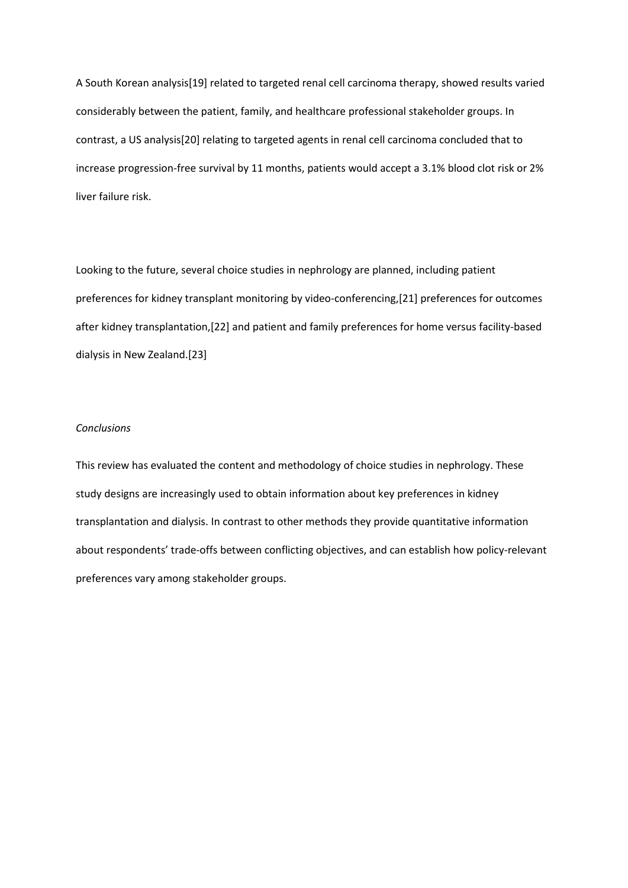<span id="page-15-1"></span><span id="page-15-0"></span>A South Korean analysis[\[19\]](#page-16-4) related to targeted renal cell carcinoma therapy, showed results varied considerably between the patient, family, and healthcare professional stakeholder groups. In contrast, a US analysis[\[20\]](#page-16-5) relating to targeted agents in renal cell carcinoma concluded that to increase progression-free survival by 11 months, patients would accept a 3.1% blood clot risk or 2% liver failure risk.

<span id="page-15-5"></span><span id="page-15-4"></span><span id="page-15-3"></span><span id="page-15-2"></span>Looking to the future, several choice studies in nephrology are planned, including patient preferences for kidney transplant monitoring by video-conferencing,[\[21\]](#page-16-6) preferences for outcomes after kidney transplantation,[\[22\]](#page-16-7) and patient and family preferences for home versus facility-based dialysis in New Zealand.[\[23\]](#page-16-8)

## <span id="page-15-6"></span>*Conclusions*

<span id="page-15-13"></span><span id="page-15-12"></span><span id="page-15-11"></span><span id="page-15-10"></span><span id="page-15-9"></span><span id="page-15-8"></span><span id="page-15-7"></span>This review has evaluated the content and methodology of choice studies in nephrology. These study designs are increasingly used to obtain information about key preferences in kidney transplantation and dialysis. In contrast to other methods they provide quantitative information about respondents' trade-offs between conflicting objectives, and can establish how policy-relevant preferences vary among stakeholder groups.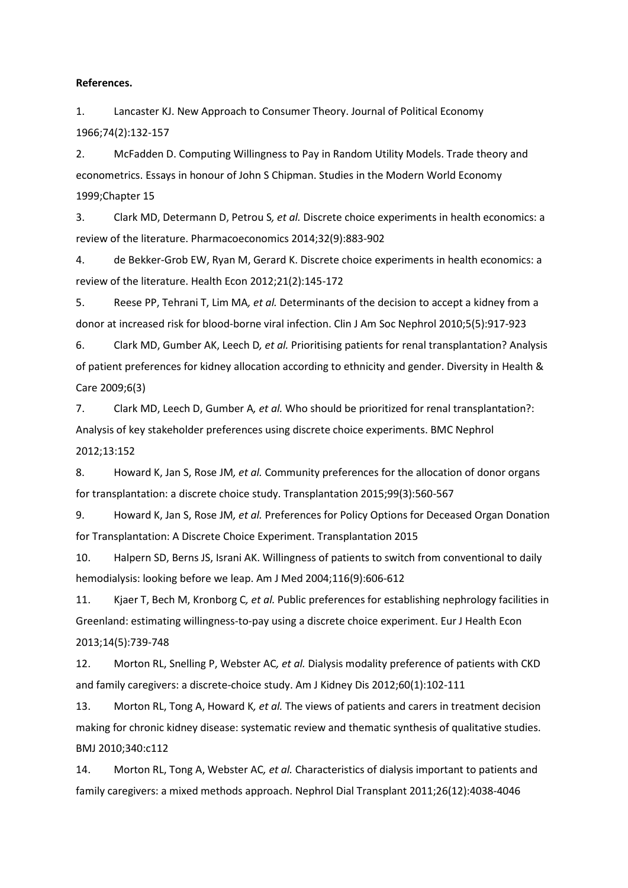#### <span id="page-16-0"></span>**References.**

<span id="page-16-1"></span>1. Lancaster KJ. New Approach to Consumer Theory. Journal of Political Economy 1966;74(2):132-157

2. McFadden D. Computing Willingness to Pay in Random Utility Models. Trade theory and econometrics. Essays in honour of John S Chipman. Studies in the Modern World Economy 1999;Chapter 15

<span id="page-16-3"></span><span id="page-16-2"></span>3. Clark MD, Determann D, Petrou S*, et al.* Discrete choice experiments in health economics: a review of the literature. Pharmacoeconomics 2014;32(9):883-902

4. de Bekker-Grob EW, Ryan M, Gerard K. Discrete choice experiments in health economics: a review of the literature. Health Econ 2012;21(2):145-172

<span id="page-16-4"></span>5. Reese PP, Tehrani T, Lim MA*, et al.* Determinants of the decision to accept a kidney from a donor at increased risk for blood-borne viral infection. Clin J Am Soc Nephrol 2010;5(5):917-923

<span id="page-16-5"></span>6. Clark MD, Gumber AK, Leech D*, et al.* Prioritising patients for renal transplantation? Analysis of patient preferences for kidney allocation according to ethnicity and gender. Diversity in Health & Care 2009;6(3)

<span id="page-16-6"></span>7. Clark MD, Leech D, Gumber A*, et al.* Who should be prioritized for renal transplantation?: Analysis of key stakeholder preferences using discrete choice experiments. BMC Nephrol 2012;13:152

<span id="page-16-7"></span>8. Howard K, Jan S, Rose JM*, et al.* Community preferences for the allocation of donor organs for transplantation: a discrete choice study. Transplantation 2015;99(3):560-567

<span id="page-16-8"></span>9. Howard K, Jan S, Rose JM*, et al.* Preferences for Policy Options for Deceased Organ Donation for Transplantation: A Discrete Choice Experiment. Transplantation 2015

10. Halpern SD, Berns JS, Israni AK. Willingness of patients to switch from conventional to daily hemodialysis: looking before we leap. Am J Med 2004;116(9):606-612

11. Kjaer T, Bech M, Kronborg C*, et al.* Public preferences for establishing nephrology facilities in Greenland: estimating willingness-to-pay using a discrete choice experiment. Eur J Health Econ 2013;14(5):739-748

12. Morton RL, Snelling P, Webster AC*, et al.* Dialysis modality preference of patients with CKD and family caregivers: a discrete-choice study. Am J Kidney Dis 2012;60(1):102-111

13. Morton RL, Tong A, Howard K*, et al.* The views of patients and carers in treatment decision making for chronic kidney disease: systematic review and thematic synthesis of qualitative studies. BMJ 2010;340:c112

14. Morton RL, Tong A, Webster AC*, et al.* Characteristics of dialysis important to patients and family caregivers: a mixed methods approach. Nephrol Dial Transplant 2011;26(12):4038-4046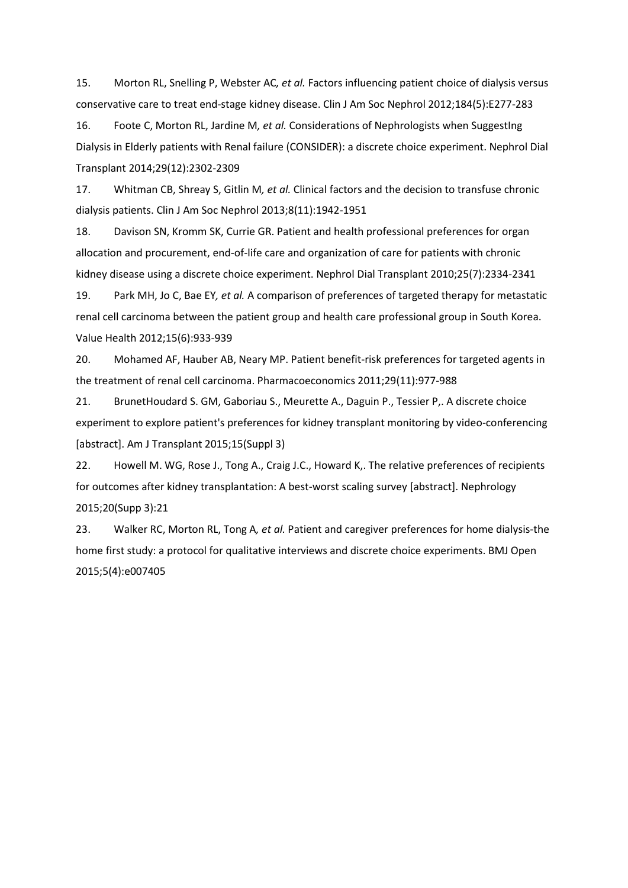15. Morton RL, Snelling P, Webster AC*, et al.* Factors influencing patient choice of dialysis versus conservative care to treat end-stage kidney disease. Clin J Am Soc Nephrol 2012;184(5):E277-283

16. Foote C, Morton RL, Jardine M*, et al.* Considerations of Nephrologists when SuggestIng Dialysis in Elderly patients with Renal failure (CONSIDER): a discrete choice experiment. Nephrol Dial Transplant 2014;29(12):2302-2309

17. Whitman CB, Shreay S, Gitlin M*, et al.* Clinical factors and the decision to transfuse chronic dialysis patients. Clin J Am Soc Nephrol 2013;8(11):1942-1951

18. Davison SN, Kromm SK, Currie GR. Patient and health professional preferences for organ allocation and procurement, end-of-life care and organization of care for patients with chronic kidney disease using a discrete choice experiment. Nephrol Dial Transplant 2010;25(7):2334-2341

19. Park MH, Jo C, Bae EY*, et al.* A comparison of preferences of targeted therapy for metastatic renal cell carcinoma between the patient group and health care professional group in South Korea. Value Health 2012;15(6):933-939

20. Mohamed AF, Hauber AB, Neary MP. Patient benefit-risk preferences for targeted agents in the treatment of renal cell carcinoma. Pharmacoeconomics 2011;29(11):977-988

21. BrunetHoudard S. GM, Gaboriau S., Meurette A., Daguin P., Tessier P,. A discrete choice experiment to explore patient's preferences for kidney transplant monitoring by video-conferencing [abstract]. Am J Transplant 2015;15(Suppl 3)

22. Howell M. WG, Rose J., Tong A., Craig J.C., Howard K,. The relative preferences of recipients for outcomes after kidney transplantation: A best-worst scaling survey [abstract]. Nephrology 2015;20(Supp 3):21

23. Walker RC, Morton RL, Tong A*, et al.* Patient and caregiver preferences for home dialysis-the home first study: a protocol for qualitative interviews and discrete choice experiments. BMJ Open 2015;5(4):e007405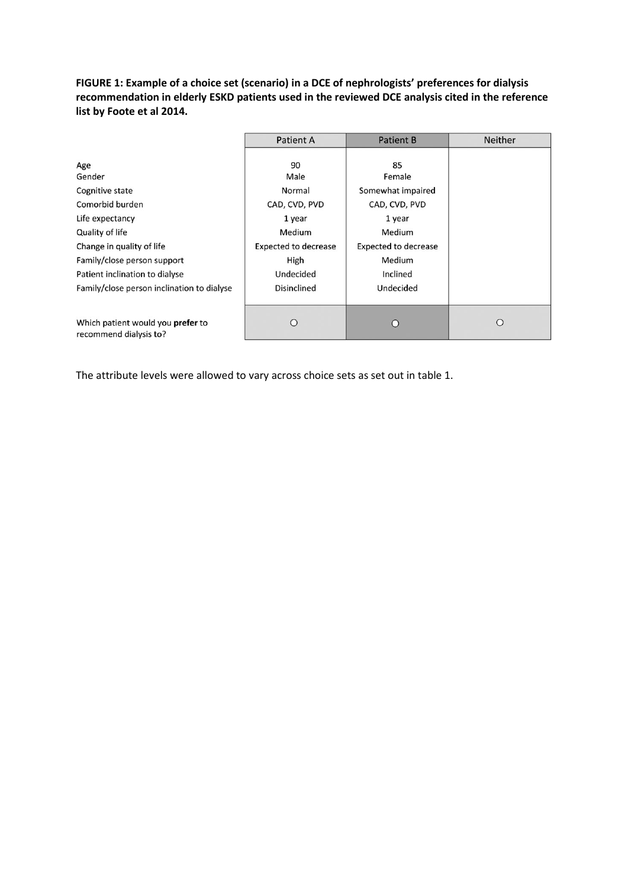**FIGURE 1: Example of a choice set (scenario) in a DCE of nephrologists' preferences for dialysis recommendation in elderly ESKD patients used in the reviewed DCE analysis cited in the reference list by Foote et al 2014.** 

|                                                             | <b>Patient A</b><br><b>Patient B</b> |                             | <b>Neither</b> |
|-------------------------------------------------------------|--------------------------------------|-----------------------------|----------------|
| Age                                                         | 90                                   | 85                          |                |
| Gender                                                      | Male                                 | Female                      |                |
| Cognitive state                                             | Normal                               | Somewhat impaired           |                |
| Comorbid burden                                             | CAD, CVD, PVD                        | CAD, CVD, PVD               |                |
| Life expectancy                                             | 1 year                               | 1 year                      |                |
| Quality of life                                             | Medium                               | Medium                      |                |
| Change in quality of life                                   | <b>Expected to decrease</b>          | <b>Expected to decrease</b> |                |
| Family/close person support                                 | High                                 | Medium                      |                |
| Patient inclination to dialyse                              | Undecided                            | Inclined                    |                |
| Family/close person inclination to dialyse                  | <b>Disinclined</b>                   | Undecided                   |                |
| Which patient would you prefer to<br>recommend dialysis to? | С                                    | 0                           | ∩              |

The attribute levels were allowed to vary across choice sets as set out in table 1.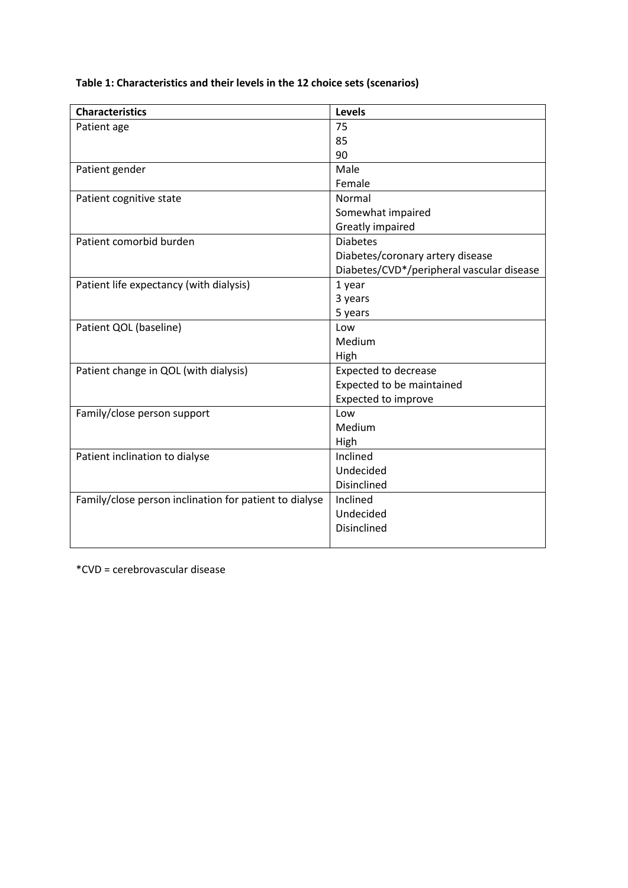**Table 1: Characteristics and their levels in the 12 choice sets (scenarios)** 

| <b>Characteristics</b>                                 | <b>Levels</b>                             |
|--------------------------------------------------------|-------------------------------------------|
| Patient age                                            | 75                                        |
|                                                        | 85                                        |
|                                                        | 90                                        |
| Patient gender                                         | Male                                      |
|                                                        | Female                                    |
| Patient cognitive state                                | Normal                                    |
|                                                        | Somewhat impaired                         |
|                                                        | Greatly impaired                          |
| Patient comorbid burden                                | <b>Diabetes</b>                           |
|                                                        | Diabetes/coronary artery disease          |
|                                                        | Diabetes/CVD*/peripheral vascular disease |
| Patient life expectancy (with dialysis)                | 1 year                                    |
|                                                        | 3 years                                   |
|                                                        | 5 years                                   |
| Patient QOL (baseline)                                 | Low                                       |
|                                                        | Medium                                    |
|                                                        | High                                      |
| Patient change in QOL (with dialysis)                  | <b>Expected to decrease</b>               |
|                                                        | Expected to be maintained                 |
|                                                        | <b>Expected to improve</b>                |
| Family/close person support                            | Low                                       |
|                                                        | Medium                                    |
|                                                        | High                                      |
| Patient inclination to dialyse                         | Inclined                                  |
|                                                        | Undecided                                 |
|                                                        | Disinclined                               |
| Family/close person inclination for patient to dialyse | Inclined                                  |
|                                                        | Undecided                                 |
|                                                        | Disinclined                               |
|                                                        |                                           |

\*CVD = cerebrovascular disease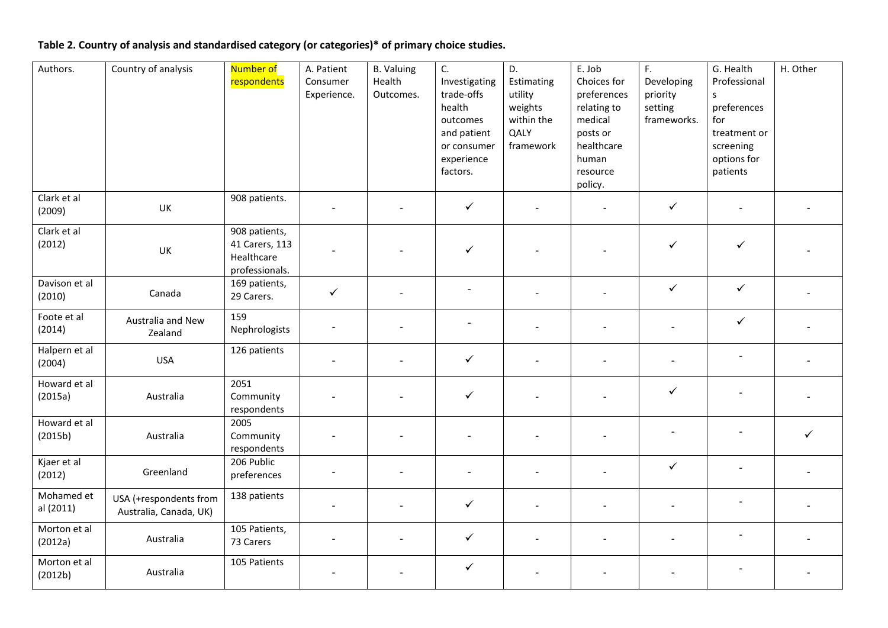# **Table 2. Country of analysis and standardised category (or categories)\* of primary choice studies.**

| Authors.                | Country of analysis                              | Number of<br>respondents                                        | A. Patient<br>Consumer<br>Experience. | <b>B.</b> Valuing<br>Health<br>Outcomes. | C.<br>Investigating<br>trade-offs<br>health<br>outcomes<br>and patient<br>or consumer<br>experience<br>factors. | D.<br>Estimating<br>utility<br>weights<br>within the<br>QALY<br>framework | E. Job<br>Choices for<br>preferences<br>relating to<br>medical<br>posts or<br>healthcare<br>human<br>resource<br>policy. | F.<br>Developing<br>priority<br>setting<br>frameworks. | G. Health<br>Professional<br>$\mathsf{s}$<br>preferences<br>for<br>treatment or<br>screening<br>options for<br>patients | H. Other |
|-------------------------|--------------------------------------------------|-----------------------------------------------------------------|---------------------------------------|------------------------------------------|-----------------------------------------------------------------------------------------------------------------|---------------------------------------------------------------------------|--------------------------------------------------------------------------------------------------------------------------|--------------------------------------------------------|-------------------------------------------------------------------------------------------------------------------------|----------|
| Clark et al<br>(2009)   | UK                                               | 908 patients.                                                   |                                       |                                          | $\checkmark$                                                                                                    |                                                                           |                                                                                                                          | $\checkmark$                                           |                                                                                                                         |          |
| Clark et al<br>(2012)   | UK                                               | 908 patients,<br>41 Carers, 113<br>Healthcare<br>professionals. |                                       |                                          | $\checkmark$                                                                                                    |                                                                           |                                                                                                                          | $\checkmark$                                           | $\checkmark$                                                                                                            |          |
| Davison et al<br>(2010) | Canada                                           | 169 patients,<br>29 Carers.                                     | $\checkmark$                          | $\overline{a}$                           | $\qquad \qquad \blacksquare$                                                                                    |                                                                           |                                                                                                                          | $\checkmark$                                           | $\checkmark$                                                                                                            |          |
| Foote et al<br>(2014)   | Australia and New<br>Zealand                     | 159<br>Nephrologists                                            |                                       |                                          |                                                                                                                 |                                                                           |                                                                                                                          |                                                        | $\checkmark$                                                                                                            |          |
| Halpern et al<br>(2004) | <b>USA</b>                                       | 126 patients                                                    |                                       |                                          | $\checkmark$                                                                                                    |                                                                           |                                                                                                                          | $\qquad \qquad -$                                      |                                                                                                                         |          |
| Howard et al<br>(2015a) | Australia                                        | 2051<br>Community<br>respondents                                |                                       |                                          | $\checkmark$                                                                                                    |                                                                           |                                                                                                                          | $\checkmark$                                           |                                                                                                                         |          |
| Howard et al<br>(2015b) | Australia                                        | 2005<br>Community<br>respondents                                |                                       |                                          | $\qquad \qquad -$                                                                                               |                                                                           |                                                                                                                          |                                                        |                                                                                                                         | ✓        |
| Kjaer et al<br>(2012)   | Greenland                                        | 206 Public<br>preferences                                       |                                       |                                          | ÷,                                                                                                              |                                                                           |                                                                                                                          | $\checkmark$                                           | $\overline{\phantom{a}}$                                                                                                |          |
| Mohamed et<br>al (2011) | USA (+respondents from<br>Australia, Canada, UK) | 138 patients                                                    | $\overline{\phantom{a}}$              |                                          | $\checkmark$                                                                                                    |                                                                           |                                                                                                                          |                                                        | $\blacksquare$                                                                                                          |          |
| Morton et al<br>(2012a) | Australia                                        | 105 Patients,<br>73 Carers                                      |                                       | $\overline{a}$                           | $\checkmark$                                                                                                    | $\overline{\phantom{a}}$                                                  |                                                                                                                          | $\overline{\phantom{a}}$                               | $\overline{\phantom{a}}$                                                                                                |          |
| Morton et al<br>(2012b) | Australia                                        | 105 Patients                                                    |                                       |                                          | $\checkmark$                                                                                                    |                                                                           |                                                                                                                          |                                                        |                                                                                                                         |          |